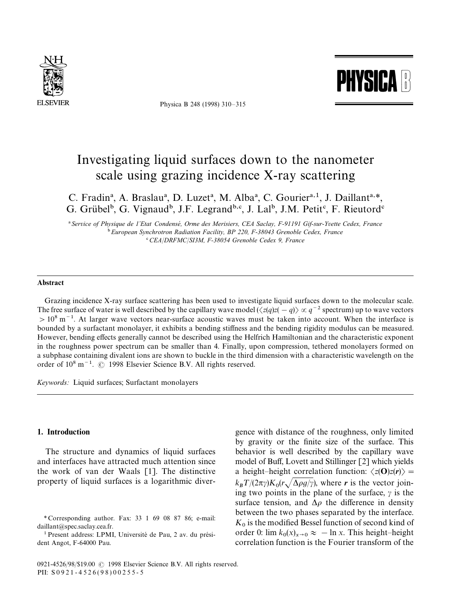

Physica B 248 (1998) 310*—*315



# Investigating liquid surfaces down to the nanometer scale using grazing incidence X-ray scattering

C. Fradin<sup>a</sup>, A. Braslau<sup>a</sup>, D. Luzet<sup>a</sup>, M. Alba<sup>a</sup>, C. Gourier<sup>a, 1</sup>, J. Daillant<sup>a, \*</sup>, G. Grübel<sup>b</sup>, G. Vignaud<sup>b</sup>, J.F. Legrand<sup>b,c</sup>, J. Lal<sup>b</sup>, J.M. Petit<sup>c</sup>, F. Rieutord<sup>e</sup>

! *Service of Physique de 1*+*Etat Condense*& *, Orme des Merisiers, CEA Saclay, F-91191 Gif-sur-Yvette Cedex, France* " *European Synchrotron Radiation Facility, BP 220, F-38043 Grenoble Cedex, France* #*CEA*/*DRFMC*/*SI3M, F-38054 Grenoble Cedex 9, France*

#### Abstract

Grazing incidence X-ray surface scattering has been used to investigate liquid surfaces down to the molecular scale. The free surface of water is well described by the capillary wave model  $(\langle z(q)z(-q) \rangle \propto q^{-2}$  spectrum) up to wave vectors  $>10^8$  m<sup>-1</sup>. At larger wave vectors near-surface acoustic waves must be taken into account. When the interface is bounded by a surfactant monolayer, it exhibits a bending stiffness and the bending rigidity modulus can be measured. However, bending effects generally cannot be described using the Helfrich Hamiltonian and the characteristic exponent in the roughness power spectrum can be smaller than 4. Finally, upon compression, tethered monolayers formed on a subphase containing divalent ions are shown to buckle in the third dimension with a characteristic wavelength on the order of  $10^8$  m<sup> $-1$ </sup>.  $\odot$  1998 Elsevier Science B.V. All rights reserved.

*Keywords:* Liquid surfaces; Surfactant monolayers

## 1. Introduction

The structure and dynamics of liquid surfaces and interfaces have attracted much attention since the work of van der Waals [1]. The distinctive property of liquid surfaces is a logarithmic diverbehavior is well described by the capillary wave model of Buff, Lovett and Stillinger [2] which yields a height–height correlation function:  $\langle z(\mathbf{O})z(\mathbf{r}) \rangle =$  $k_B T/(2\pi \gamma) K_0(r \sqrt{\Delta \rho g/\gamma})$ , where *r* is the vector joining two points in the plane of the surface,  $\gamma$  is the surface tension, and  $\Delta \rho$  the difference in density between the two phases separated by the interface.  $K_0$  is the modified Bessel function of second kind of order 0:  $\lim_{x \to 0} k_0(x)_{x \to 0} \approx -\ln x$ . This height-height correlation function is the Fourier transform of the

gence with distance of the roughness, only limited by gravity or the finite size of the surface. This

*<sup>\*</sup>* Corresponding author. Fax: 33 1 69 08 87 86; e-mail: daillant@spec.saclay.cea.fr.

<sup>&</sup>lt;sup>1</sup> Present address: LPMI, Université de Pau, 2 av. du président Angot, F-64000 Pau.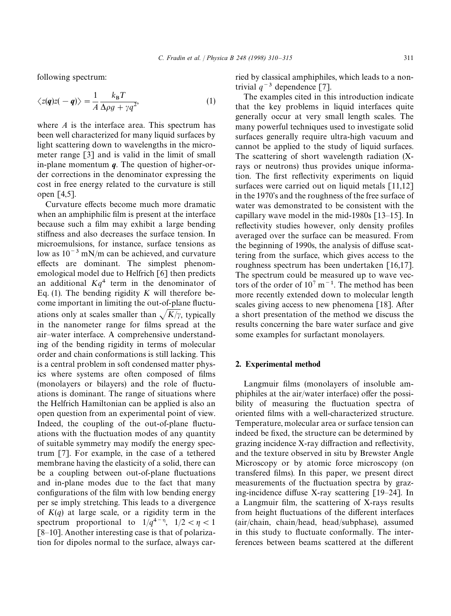following spectrum:

$$
\langle z(\mathbf{q})z(-\mathbf{q})\rangle = \frac{1}{A}\frac{k_{\rm B}T}{\Delta\rho g + \gamma q^2},\tag{1}
$$

where *A* is the interface area. This spectrum has been well characterized for many liquid surfaces by light scattering down to wavelengths in the micrometer range [3] and is valid in the limit of small in-plane momentum *q*. The question of higher-order corrections in the denominator expressing the cost in free energy related to the curvature is still open [4,5].

Curvature effects become much more dramatic when an amphiphilic film is present at the interface because such a film may exhibit a large bending stiffness and also decreases the surface tension. In microemulsions, for instance, surface tensions as low as  $10^{-3}$  mN/m can be achieved, and curvature effects are dominant. The simplest phenomemological model due to Helfrich [6] then predicts an additional  $Kq<sup>4</sup>$  term in the denominator of Eq. (1). The bending rigidity *K* will therefore become important in limiting the out-of-plane fluctuations only at scales smaller than  $\sqrt{K/\gamma}$ , typically in the nanometer range for films spread at the air*—*water interface. A comprehensive understanding of the bending rigidity in terms of molecular order and chain conformations is still lacking. This is a central problem in soft condensed matter physics where systems are often composed of films (monolayers or bilayers) and the role of fluctuations is dominant. The range of situations where the Helfrich Hamiltonian can be applied is also an open question from an experimental point of view. Indeed, the coupling of the out-of-plane fluctuations with the fluctuation modes of any quantity of suitable symmetry may modify the energy spectrum [7]. For example, in the case of a tethered membrane having the elasticity of a solid, there can be a coupling between out-of-plane fluctuations and in-plane modes due to the fact that many configurations of the film with low bending energy per se imply stretching. This leads to a divergence of  $K(q)$  at large scale, or a rigidity term in the spectrum proportional to  $1/q^{4-\eta}$ ,  $1/2 < \eta < 1$ [8–10]. Another interesting case is that of polarization for dipoles normal to the surface, always carried by classical amphiphiles, which leads to a nontrivial  $q^{-3}$  dependence [7].

The examples cited in this introduction indicate that the key problems in liquid interfaces quite generally occur at very small length scales. The many powerful techniques used to investigate solid surfaces generally require ultra-high vacuum and cannot be applied to the study of liquid surfaces. The scattering of short wavelength radiation (Xrays or neutrons) thus provides unique information. The first reflectivity experiments on liquid surfaces were carried out on liquid metals [11,12] in the 1970's and the roughness of the free surface of water was demonstrated to be consistent with the capillary wave model in the mid-1980s [13*—*15]. In reflectivity studies however, only density profiles averaged over the surface can be measured. From the beginning of 1990s, the analysis of diffuse scattering from the surface, which gives access to the roughness spectrum has been undertaken [16,17]. The spectrum could be measured up to wave vectors of the order of  $10^7$  m<sup>-1</sup>. The method has been more recently extended down to molecular length scales giving access to new phenomena [18]. After a short presentation of the method we discuss the results concerning the bare water surface and give some examples for surfactant monolayers.

### 2. Experimental method

Langmuir films (monolayers of insoluble amphiphiles at the air/water interface) offer the possibility of measuring the fluctuation spectra of oriented films with a well-characterized structure. Temperature, molecular area or surface tension can indeed be fixed, the structure can be determined by grazing incidence X-ray diffraction and reflectivity, and the texture observed in situ by Brewster Angle Microscopy or by atomic force microscopy (on transfered films). In this paper, we present direct measurements of the fluctuation spectra by grazing-incidence diffuse X-ray scattering [19*—*24]. In a Langmuir film, the scattering of X-rays results from height fluctuations of the different interfaces (air/chain, chain/head, head/subphase), assumed in this study to fluctuate conformally. The interferences between beams scattered at the different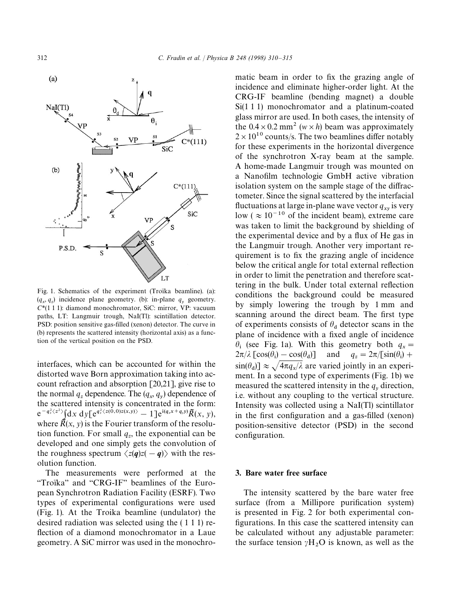



Fig. 1. Schematics of the experiment (Troïka beamline). (a):  $(q_x, q_z)$  incidence plane geometry. (b): in-plane  $q_y$  geometry. *C\**(1 1 1): diamond monochromator, SiC: mirror, VP: vacuum paths, LT: Langmuir trough, NaI(Tl): scintillation detector. PSD: position sensitive gas-filled (xenon) detector. The curve in (b) represents the scattered intensity (horizontal axis) as a function of the vertical position on the PSD.

interfaces, which can be accounted for within the distorted wave Born approximation taking into account refraction and absorption [20,21], give rise to the normal  $q_z$  dependence. The  $(q_x, q_y)$  dependence of the scattered intensity is concentrated in the form:  $e^{-q_z^2\langle z^2\rangle}\int\!\mathrm{d} x\;\mathrm{d} y$ [ $e^{q_z^2\langle z(\tilde{\bf0},0)z(x,y)\rangle}-1$ ] $e^{\mathrm{i}(q_xx+q_yy)}\tilde{R}(x,\,y),$ where  $\tilde{R}(x, y)$  is the Fourier transform of the resolution function. For small  $q_z$ , the exponential can be developed and one simply gets the convolution of the roughness spectrum  $\langle z(q)z(-q) \rangle$  with the resolution function.

The measurements were performed at the "Troïka" and "CRG-IF" beamlines of the European Synchrotron Radiation Facility (ESRF). Two types of experimental configurations were used (Fig. 1). At the Troika beamline (undulator) the desired radiation was selected using the ( 1 1 1) reflection of a diamond monochromator in a Laue geometry. A SiC mirror was used in the monochromatic beam in order to fix the grazing angle of incidence and eliminate higher-order light. At the CRG-IF beamline (bending magnet) a double Si(1 1 1) monochromator and a platinum-coated glass mirror are used. In both cases, the intensity of the  $0.4 \times 0.2$  mm<sup>2</sup> ( $w \times h$ ) beam was approximately  $2 \times 10^{10}$  counts/s. The two beamlines differ notably for these experiments in the horizontal divergence of the synchrotron X-ray beam at the sample. A home-made Langmuir trough was mounted on a Nanofilm technologie GmbH active vibration isolation system on the sample stage of the diffractometer. Since the signal scattered by the interfacial fluctuations at large in-plane wave vector  $q_{xy}$  is very low ( $\approx 10^{-10}$  of the incident beam), extreme care was taken to limit the background by shielding of the experimental device and by a flux of He gas in the Langmuir trough. Another very important requirement is to fix the grazing angle of incidence below the critical angle for total external reflection in order to limit the penetration and therefore scattering in the bulk. Under total external reflection conditions the background could be measured by simply lowering the trough by 1 mm and scanning around the direct beam. The first type of experiments consists of  $\theta_d$  detector scans in the plane of incidence with a fixed angle of incidence  $\theta_i$  (see Fig. 1a). With this geometry both  $q_x =$ )] and  $q_z = 2\pi / [\sin(\theta_i) +$  $2\pi/\lambda \left[\cos(\theta_i) - \cos(\theta_d)\right]$  $\sin(\theta_d)$ ]  $\approx \sqrt{4\pi q_x/\lambda}$  are varied jointly in an experi ment. In a second type of experiments (Fig. 1b) we measured the scattered intensity in the  $q<sub>y</sub>$  direction, i.e. without any coupling to the vertical structure. Intensity was collected using a NaI(Tl) scintillator in the first configuration and a gas-filled (xenon) position-sensitive detector (PSD) in the second configuration.

#### 3. Bare water free surface

The intensity scattered by the bare water free surface (from a Millipore purification system) is presented in Fig. 2 for both experimental configurations. In this case the scattered intensity can be calculated without any adjustable parameter: the surface tension  $\gamma H_2O$  is known, as well as the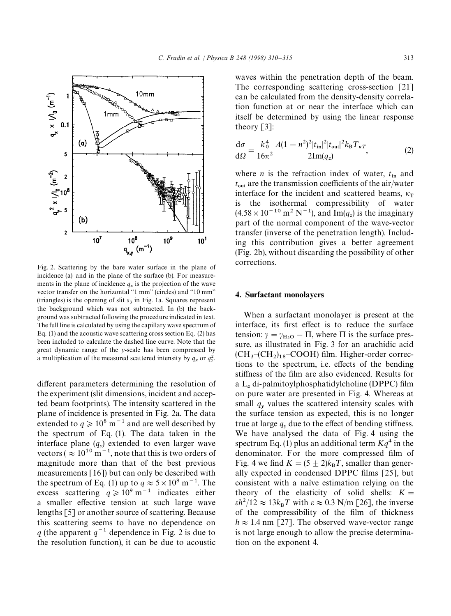

Fig. 2. Scattering by the bare water surface in the plane of incidence (a) and in the plane of the surface (b). For measurements in the plane of incidence  $q_x$  is the projection of the wave vector transfer on the horizontal "1 mm" (circles) and "10 mm" (triangles) is the opening of slit *s* <sup>3</sup> in Fig. 1a. Squares represent the background which was not subtracted. In (b) the background was subtracted following the procedure indicated in text. The full line is calculated by using the capillary wave spectrum of Eq. (1) and the acoustic wave scattering cross section Eq. (2) has been included to calculate the dashed line curve. Note that the great dynamic range of the *y*-scale has been compressed by a multiplication of the measured scattered intensity by  $q_x$  or  $q_y^2$ .

different parameters determining the resolution of the experiment (slit dimensions, incident and accepted beam footprints). The intensity scattered in the plane of incidence is presented in Fig. 2a. The data extended to  $q \ge 10^8$  m<sup>-1</sup> and are well described by the spectrum of Eq. (1). The data taken in the interface plane  $(q_y)$  extended to even larger wave vectors ( $\approx 10^{10}$  m<sup>-1</sup>, note that this is two orders of magnitude more than that of the best previous measurements [16]) but can only be described with the spectrum of Eq. (1) up to  $q \approx 5 \times 10^8$  m<sup>-1</sup>. The excess scattering  $q \ge 10^9$  m<sup>-1</sup> indicates either a smaller effective tension at such large wave lengths [5] or another source of scattering. Because this scattering seems to have no dependence on *q* (the apparent  $q^{-1}$  dependence in Fig. 2 is due to the resolution function), it can be due to acoustic waves within the penetration depth of the beam. The corresponding scattering cross-section [21] can be calculated from the density-density correlation function at or near the interface which can itself be determined by using the linear response theory [3]:

$$
\frac{d\sigma}{d\Omega} = \frac{k_0^4}{16\pi^2} \frac{A(1 - n^2)^2 |t_{\rm in}|^2 |t_{\rm out}|^2 k_{\rm B} T_{\kappa T}}{2 \text{Im}(q_z)},\tag{2}
$$

where *n* is the refraction index of water,  $t_{\text{in}}$  and  $t_{\text{out}}$  are the transmission coefficients of the air/water interface for the incident and scattered beams,  $\kappa_{\rm T}$ is the isothermal compressibility of water  $(4.58 \times 10^{-10} \text{ m}^2 \text{ N}^{-1})$ , and Im( $q_z$ ) is the imaginary part of the normal component of the wave-vector transfer (inverse of the penetration length). Including this contribution gives a better agreement (Fig. 2b), without discarding the possibility of other corrections.

#### 4. Surfactant monolayers

When a surfactant monolayer is present at the interface, its first effect is to reduce the surface tension:  $\gamma = \gamma_{\text{H}_2\text{O}} - \Pi$ , where  $\Pi$  is the surface prestension.  $\gamma = \gamma_{\text{H}_2\text{O}} - 11$ , where 11 is the surface pressure, as illustrated in Fig. 3 for an arachidic acid (CH<sub>3</sub>–(CH<sub>2</sub>)<sub>18</sub>–COOH) film. Higher-order corrections to the spectrum, i.e. effects of the bending stiffness of the film are also evidenced. Results for a  $L_{\alpha}$  di-palmitoylphosphatidylcholine (DPPC) film on pure water are presented in Fig. 4. Whereas at small  $q_y$  values the scattered intensity scales with the surface tension as expected, this is no longer true at large  $q_y$  due to the effect of bending stiffness. We have analysed the data of Fig. 4 using the spectrum Eq. (1) plus an additional term  $Kq<sup>4</sup>$  in the denominator. For the more compressed film of Fig. 4 we find  $K = (5 \pm 2)k_B T$ , smaller than generally expected in condensed DPPC films [25], but consistent with a naïve estimation relying on the theory of the elasticity of solid shells:  $K =$  $\epsilon h^2/12 \approx 13k_B T$  with  $\epsilon \approx 0.3$  N/m [26], the inverse of the compressibility of the film of thickness  $h \approx 1.4$  nm [27]. The observed wave-vector range is not large enough to allow the precise determination on the exponent 4.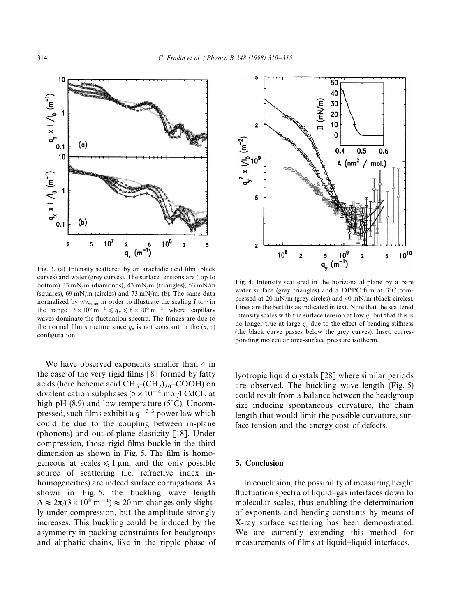

Fig. 3. (a) Intensity scattered by an arachidic acid film (black curves) and water (grey curves). The surface tensions are (top to bottom) 33 mN/m (diamonds), 43 mN/m (triangles), 53 mN/m (squares), 69 mN/m (circles) and 73 mN/m. (b): The same data normalized by  $\gamma/\gamma_{\text{water}}$  in order to illustrate the scaling  $I \propto \gamma$  in the range  $3 \times 10^6$  m<sup>-1</sup>  $\le q_x \le 8 \times 10^6$  m<sup>-1</sup> where capillary waves dominate the fluctuation spectra. The fringes are due to the normal film structure since  $q_z$  is not constant in the  $(x, z)$ configuration.

We have observed exponents smaller than 4 in the case of the very rigid films [8] formed by fatty acids (here behenic acid  $CH_3-(CH_2)_{20}-COOH$ ) on divalent cation subphases ( $5\times10^{-4}$  mol/l CdCl<sub>2</sub> at high pH (8.9) and low temperature (5*°*C). Uncompressed, such films exhibit a  $q^{-3.3}$  power law which could be due to the coupling between in-plane (phonons) and out-of-plane elasticity [18]. Under compression, those rigid films buckle in the third dimension as shown in Fig. 5. The film is homogeneous at scales  $\leq 1 \mu m$ , and the only possible source of scattering (i.e. refractive index inhomogeneities) are indeed surface corrugations. As shown in Fig. 5, the buckling wave length  $\Delta \approx 2\pi/(3\times10^8 \text{ m}^{-1})\approx 20 \text{ nm}$  changes only slightly under compression, but the amplitude strongly increases. This buckling could be induced by the asymmetry in packing constraints for headgroups and aliphatic chains, like in the ripple phase of



Fig. 4. Intensity scattered in the horizonatal plane by a bare water surface (grey triangles) and a DPPC film at 3*°*C compressed at 20 mN/m (grey circles) and 40 mN/m (black circles). Lines are the best fits as indicated in text. Note that the scattered intensity scales with the surface tension at low  $q_y$  but that this is no longer true at large  $q_y$  due to the effect of bending stiffness (the black curve passes below the grey curves). Inset: corresponding molecular area-surface pressure isotherm.

lyotropic liquid crystals [28] where similar periods are observed. The buckling wave length (Fig. 5) could result from a balance between the headgroup size inducing spontaneous curvature, the chain length that would limit the possible curvature, surface tension and the energy cost of defects.

#### 5. Conclusion

In conclusion, the possibility of measuring height fluctuation spectra of liquid*—*gas interfaces down to molecular scales, thus enabling the determination of exponents and bending constants by means of X-ray surface scattering has been demonstrated. We are currently extending this method for measurements of films at liquid*—*liquid interfaces.